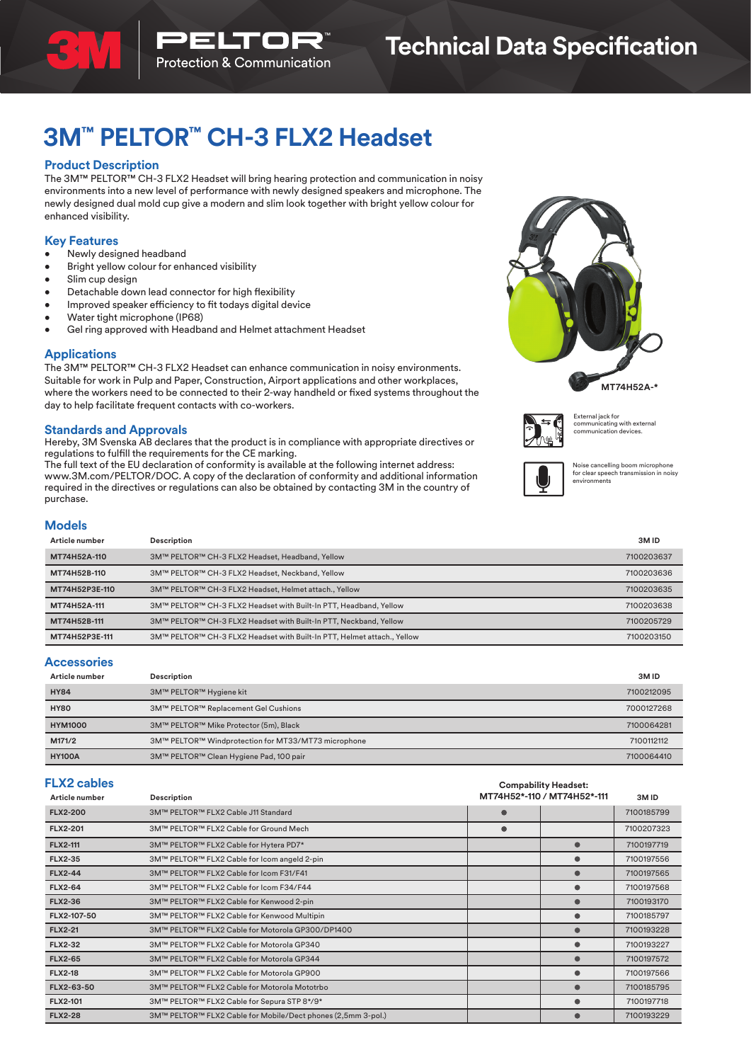

# **3M™ PELTOR™ CH-3 FLX2 Headset**

## **Product Description**

The 3M™ PELTOR™ CH-3 FLX2 Headset will bring hearing protection and communication in noisy environments into a new level of performance with newly designed speakers and microphone. The newly designed dual mold cup give a modern and slim look together with bright yellow colour for enhanced visibility.

## **Key Features**

- Newly designed headband
- Bright yellow colour for enhanced visibility
- Slim cup design
- Detachable down lead connector for high flexibility
- Improved speaker efficiency to fit todays digital device
- Water tight microphone (IP68)
- Gel ring approved with Headband and Helmet attachment Headset

#### **Applications**

The 3M™ PELTOR™ CH-3 FLX2 Headset can enhance communication in noisy environments. Suitable for work in Pulp and Paper, Construction, Airport applications and other workplaces, where the workers need to be connected to their 2-way handheld or fixed systems throughout the day to help facilitate frequent contacts with co-workers.

## **Standards and Approvals**

Hereby, 3M Svenska AB declares that the product is in compliance with appropriate directives or regulations to fulfill the requirements for the CE marking.

The full text of the EU declaration of conformity is available at the following internet address: www.3M.com/PELTOR/DOC. A copy of the declaration of conformity and additional information required in the directives or regulations can also be obtained by contacting 3M in the country of purchase.





External jack for communicating with external communication devices.



Noise cancelling boom microphone for clear speech transmission in noisy environments

# **Models**

| Article number | Description                                                             | 3M <sub>ID</sub> |
|----------------|-------------------------------------------------------------------------|------------------|
| MT74H52A-110   | 3M™ PELTOR™ CH-3 FLX2 Headset, Headband, Yellow                         | 7100203637       |
| MT74H52B-110   | 3M™ PELTOR™ CH-3 FLX2 Headset, Neckband, Yellow                         | 7100203636       |
| MT74H52P3E-110 | 3M™ PELTOR™ CH-3 FLX2 Headset, Helmet attach., Yellow                   | 7100203635       |
| MT74H52A-111   | 3M™ PELTOR™ CH-3 FLX2 Headset with Built-In PTT, Headband, Yellow       | 7100203638       |
| MT74H52B-111   | 3M™ PELTOR™ CH-3 FLX2 Headset with Built-In PTT, Neckband, Yellow       | 7100205729       |
| MT74H52P3E-111 | 3M™ PELTOR™ CH-3 FLX2 Headset with Built-In PTT, Helmet attach., Yellow | 7100203150       |

#### **Accessories**

| Article number | Description                                         | 3M <sub>ID</sub> |
|----------------|-----------------------------------------------------|------------------|
| <b>HY84</b>    | 3M™ PELTOR™ Hygiene kit                             | 7100212095       |
| <b>HY80</b>    | 3M™ PELTOR™ Replacement Gel Cushions                | 7000127268       |
| <b>HYM1000</b> | 3M™ PELTOR™ Mike Protector (5m), Black              | 7100064281       |
| M171/2         | 3M™ PELTOR™ Windprotection for MT33/MT73 microphone | 7100112112       |
| <b>HY100A</b>  | 3M™ PELTOR™ Clean Hygiene Pad, 100 pair             | 7100064410       |

| <b>FLX2 cables</b> |                                                              |           | <b>Compability Headset:</b> |            |
|--------------------|--------------------------------------------------------------|-----------|-----------------------------|------------|
| Article number     | Description                                                  |           | MT74H52*-110 / MT74H52*-111 | 3MID       |
| <b>FLX2-200</b>    | 3M™ PELTOR™ FLX2 Cable J11 Standard                          |           |                             | 7100185799 |
| <b>FLX2-201</b>    | 3M™ PELTOR™ FLX2 Cable for Ground Mech                       | $\bullet$ |                             | 7100207323 |
| <b>FLX2-111</b>    | 3M™ PELTOR™ FLX2 Cable for Hytera PD7*                       |           | $\bullet$                   | 7100197719 |
| <b>FLX2-35</b>     | 3M™ PELTOR™ FLX2 Cable for Icom angeld 2-pin                 |           | $\bullet$                   | 7100197556 |
| <b>FLX2-44</b>     | 3M™ PELTOR™ FLX2 Cable for Icom F31/F41                      |           | $\bullet$                   | 7100197565 |
| <b>FLX2-64</b>     | 3M™ PELTOR™ FLX2 Cable for Icom F34/F44                      |           | $\bullet$                   | 7100197568 |
| <b>FLX2-36</b>     | 3M™ PELTOR™ FLX2 Cable for Kenwood 2-pin                     |           | $\bullet$                   | 7100193170 |
| FLX2-107-50        | 3M™ PELTOR™ FLX2 Cable for Kenwood Multipin                  |           | $\bullet$                   | 7100185797 |
| <b>FLX2-21</b>     | 3M™ PELTOR™ FLX2 Cable for Motorola GP300/DP1400             |           | $\bullet$                   | 7100193228 |
| <b>FLX2-32</b>     | 3M™ PELTOR™ FLX2 Cable for Motorola GP340                    |           | $\bullet$                   | 7100193227 |
| <b>FLX2-65</b>     | 3M™ PELTOR™ FLX2 Cable for Motorola GP344                    |           | $\bullet$                   | 7100197572 |
| <b>FLX2-18</b>     | 3M™ PELTOR™ FLX2 Cable for Motorola GP900                    |           | $\bullet$                   | 7100197566 |
| FLX2-63-50         | 3M™ PELTOR™ FLX2 Cable for Motorola Mototrbo                 |           | $\bullet$                   | 7100185795 |
| <b>FLX2-101</b>    | 3M™ PELTOR™ FLX2 Cable for Sepura STP 8*/9*                  |           | $\bullet$                   | 7100197718 |
| <b>FLX2-28</b>     | 3M™ PELTOR™ FLX2 Cable for Mobile/Dect phones (2,5mm 3-pol.) |           | $\bullet$                   | 7100193229 |